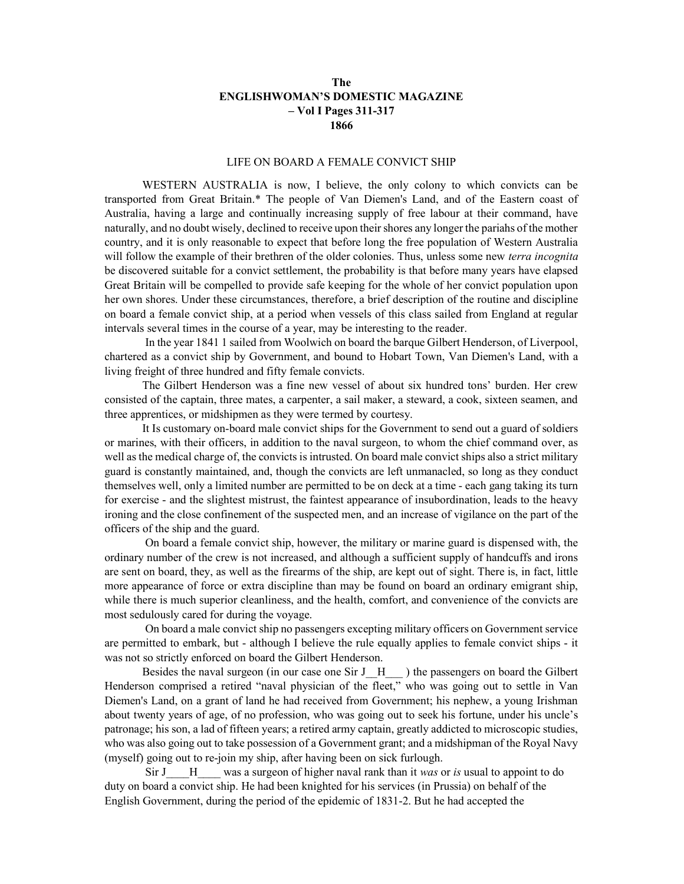## The ENGLISHWOMAN'S DOMESTIC MAGAZINE – Vol I Pages 311-317 1866

## LIFE ON BOARD A FEMALE CONVICT SHIP

WESTERN AUSTRALIA is now, I believe, the only colony to which convicts can be transported from Great Britain.\* The people of Van Diemen's Land, and of the Eastern coast of Australia, having a large and continually increasing supply of free labour at their command, have naturally, and no doubt wisely, declined to receive upon their shores any longer the pariahs of the mother country, and it is only reasonable to expect that before long the free population of Western Australia will follow the example of their brethren of the older colonies. Thus, unless some new *terra incognita* be discovered suitable for a convict settlement, the probability is that before many years have elapsed Great Britain will be compelled to provide safe keeping for the whole of her convict population upon her own shores. Under these circumstances, therefore, a brief description of the routine and discipline on board a female convict ship, at a period when vessels of this class sailed from England at regular intervals several times in the course of a year, may be interesting to the reader.

 In the year 1841 1 sailed from Woolwich on board the barque Gilbert Henderson, of Liverpool, chartered as a convict ship by Government, and bound to Hobart Town, Van Diemen's Land, with a living freight of three hundred and fifty female convicts.

The Gilbert Henderson was a fine new vessel of about six hundred tons' burden. Her crew consisted of the captain, three mates, a carpenter, a sail maker, a steward, a cook, sixteen seamen, and three apprentices, or midshipmen as they were termed by courtesy.

 It Is customary on-board male convict ships for the Government to send out a guard of soldiers or marines, with their officers, in addition to the naval surgeon, to whom the chief command over, as well as the medical charge of, the convicts is intrusted. On board male convict ships also a strict military guard is constantly maintained, and, though the convicts are left unmanacled, so long as they conduct themselves well, only a limited number are permitted to be on deck at a time - each gang taking its turn for exercise - and the slightest mistrust, the faintest appearance of insubordination, leads to the heavy ironing and the close confinement of the suspected men, and an increase of vigilance on the part of the officers of the ship and the guard.

 On board a female convict ship, however, the military or marine guard is dispensed with, the ordinary number of the crew is not increased, and although a sufficient supply of handcuffs and irons are sent on board, they, as well as the firearms of the ship, are kept out of sight. There is, in fact, little more appearance of force or extra discipline than may be found on board an ordinary emigrant ship, while there is much superior cleanliness, and the health, comfort, and convenience of the convicts are most sedulously cared for during the voyage.

 On board a male convict ship no passengers excepting military officers on Government service are permitted to embark, but - although I believe the rule equally applies to female convict ships - it was not so strictly enforced on board the Gilbert Henderson.

Besides the naval surgeon (in our case one Sir J\_H\_\_) the passengers on board the Gilbert Henderson comprised a retired "naval physician of the fleet," who was going out to settle in Van Diemen's Land, on a grant of land he had received from Government; his nephew, a young Irishman about twenty years of age, of no profession, who was going out to seek his fortune, under his uncle's patronage; his son, a lad of fifteen years; a retired army captain, greatly addicted to microscopic studies, who was also going out to take possession of a Government grant; and a midshipman of the Royal Navy (myself) going out to re-join my ship, after having been on sick furlough.

Sir J  $\quad$  H  $\quad$  was a surgeon of higher naval rank than it was or is usual to appoint to do duty on board a convict ship. He had been knighted for his services (in Prussia) on behalf of the English Government, during the period of the epidemic of 1831-2. But he had accepted the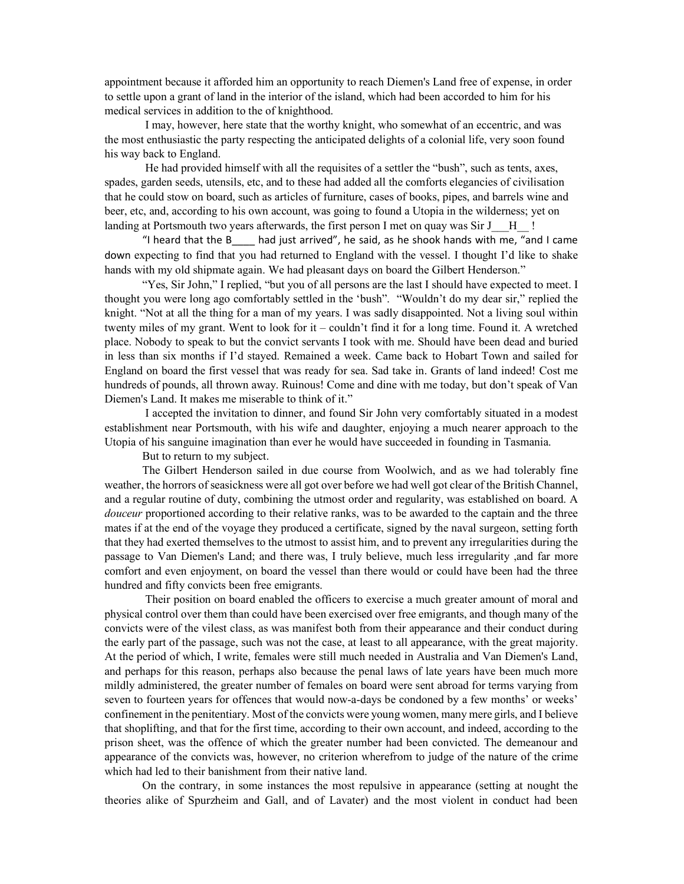appointment because it afforded him an opportunity to reach Diemen's Land free of expense, in order to settle upon a grant of land in the interior of the island, which had been accorded to him for his medical services in addition to the of knighthood.

 I may, however, here state that the worthy knight, who somewhat of an eccentric, and was the most enthusiastic the party respecting the anticipated delights of a colonial life, very soon found his way back to England.

 He had provided himself with all the requisites of a settler the "bush", such as tents, axes, spades, garden seeds, utensils, etc, and to these had added all the comforts elegancies of civilisation that he could stow on board, such as articles of furniture, cases of books, pipes, and barrels wine and beer, etc, and, according to his own account, was going to found a Utopia in the wilderness; yet on landing at Portsmouth two years afterwards, the first person I met on quay was Sir J  $\parallel$  !

 "I heard that the В\_\_\_\_ had just arrived", he said, as he shook hands with me, "and I came down expecting to find that you had returned to England with the vessel. I thought I'd like to shake hands with my old shipmate again. We had pleasant days on board the Gilbert Henderson."

"Yes, Sir John," I replied, "but you of all persons are the last I should have expected to meet. I thought you were long ago comfortably settled in the 'bush". "Wouldn't do my dear sir," replied the knight. "Not at all the thing for a man of my years. I was sadly disappointed. Not a living soul within twenty miles of my grant. Went to look for it – couldn't find it for a long time. Found it. A wretched place. Nobody to speak to but the convict servants I took with me. Should have been dead and buried in less than six months if I'd stayed. Remained a week. Came back to Hobart Town and sailed for England on board the first vessel that was ready for sea. Sad take in. Grants of land indeed! Cost me hundreds of pounds, all thrown away. Ruinous! Come and dine with me today, but don't speak of Van Diemen's Land. It makes me miserable to think of it."

 I accepted the invitation to dinner, and found Sir John very comfortably situated in a modest establishment near Portsmouth, with his wife and daughter, enjoying a much nearer approach to the Utopia of his sanguine imagination than ever he would have succeeded in founding in Tasmania.

But to return to my subject.

 The Gilbert Henderson sailed in due course from Woolwich, and as we had tolerably fine weather, the horrors of seasickness were all got over before we had well got clear of the British Channel, and a regular routine of duty, combining the utmost order and regularity, was established on board. A douceur proportioned according to their relative ranks, was to be awarded to the captain and the three mates if at the end of the voyage they produced a certificate, signed by the naval surgeon, setting forth that they had exerted themselves to the utmost to assist him, and to prevent any irregularities during the passage to Van Diemen's Land; and there was, I truly believe, much less irregularity ,and far more comfort and even enjoyment, on board the vessel than there would or could have been had the three hundred and fifty convicts been free emigrants.

 Their position on board enabled the officers to exercise a much greater amount of moral and physical control over them than could have been exercised over free emigrants, and though many of the convicts were of the vilest class, as was manifest both from their appearance and their conduct during the early part of the passage, such was not the case, at least to all appearance, with the great majority. At the period of which, I write, females were still much needed in Australia and Van Diemen's Land, and perhaps for this reason, perhaps also because the penal laws of late years have been much more mildly administered, the greater number of females on board were sent abroad for terms varying from seven to fourteen years for offences that would now-a-days be condoned by a few months' or weeks' confinement in the penitentiary. Most of the convicts were young women, many mere girls, and I believe that shoplifting, and that for the first time, according to their own account, and indeed, according to the prison sheet, was the offence of which the greater number had been convicted. The demeanour and appearance of the convicts was, however, no criterion wherefrom to judge of the nature of the crime which had led to their banishment from their native land.

 On the contrary, in some instances the most repulsive in appearance (setting at nought the theories alike of Spurzheim and Gall, and of Lavater) and the most violent in conduct had been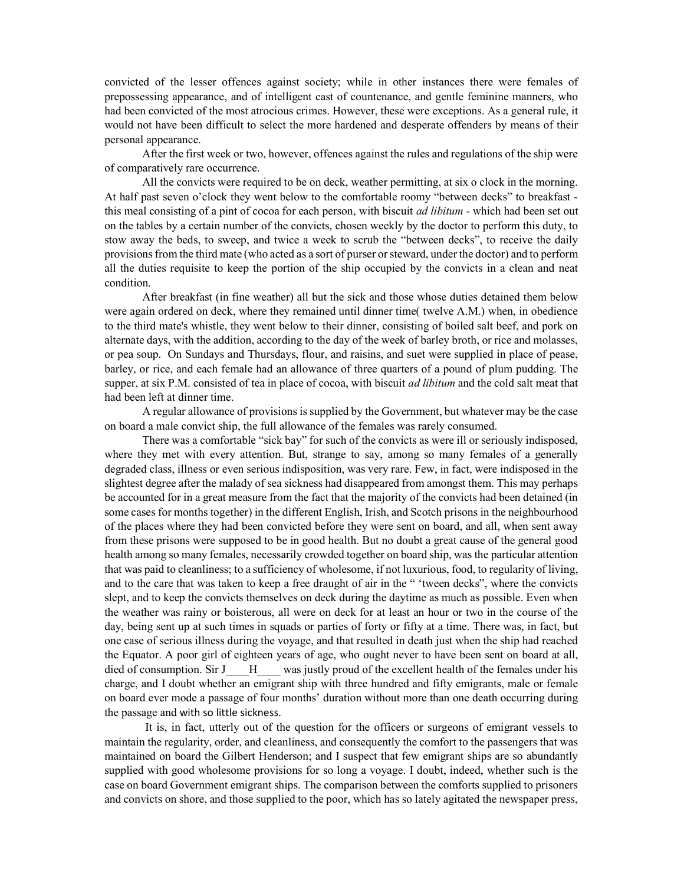convicted of the lesser offences against society; while in other instances there were females of prepossessing appearance, and of intelligent cast of countenance, and gentle feminine manners, who had been convicted of the most atrocious crimes. However, these were exceptions. As a general rule, it would not have been difficult to select the more hardened and desperate offenders by means of their personal appearance.

After the first week or two, however, offences against the rules and regulations of the ship were of comparatively rare occurrence.

 All the convicts were required to be on deck, weather permitting, at six o clock in the morning. At half past seven o'clock they went below to the comfortable roomy "between decks" to breakfast this meal consisting of a pint of cocoa for each person, with biscuit *ad libitum* - which had been set out on the tables by a certain number of the convicts, chosen weekly by the doctor to perform this duty, to stow away the beds, to sweep, and twice a week to scrub the "between decks", to receive the daily provisions from the third mate (who acted as a sort of purser or steward, under the doctor) and to perform all the duties requisite to keep the portion of the ship occupied by the convicts in a clean and neat condition.

 After breakfast (in fine weather) all but the sick and those whose duties detained them below were again ordered on deck, where they remained until dinner time( twelve A.M.) when, in obedience to the third mate's whistle, they went below to their dinner, consisting of boiled salt beef, and pork on alternate days, with the addition, according to the day of the week of barley broth, or rice and molasses, or pea soup. On Sundays and Thursdays, flour, and raisins, and suet were supplied in place of pease, barley, or rice, and each female had an allowance of three quarters of a pound of plum pudding. The supper, at six P.M. consisted of tea in place of cocoa, with biscuit *ad libitum* and the cold salt meat that had been left at dinner time.

 A regular allowance of provisions is supplied by the Government, but whatever may be the case on board a male convict ship, the full allowance of the females was rarely consumed.

 There was a comfortable "sick bay" for such of the convicts as were ill or seriously indisposed, where they met with every attention. But, strange to say, among so many females of a generally degraded class, illness or even serious indisposition, was very rare. Few, in fact, were indisposed in the slightest degree after the malady of sea sickness had disappeared from amongst them. This may perhaps be accounted for in a great measure from the fact that the majority of the convicts had been detained (in some cases for months together) in the different English, Irish, and Scotch prisons in the neighbourhood of the places where they had been convicted before they were sent on board, and all, when sent away from these prisons were supposed to be in good health. But no doubt a great cause of the general good health among so many females, necessarily crowded together on board ship, was the particular attention that was paid to cleanliness; to a sufficiency of wholesome, if not luxurious, food, to regularity of living, and to the care that was taken to keep a free draught of air in the " 'tween decks", where the convicts slept, and to keep the convicts themselves on deck during the daytime as much as possible. Even when the weather was rainy or boisterous, all were on deck for at least an hour or two in the course of the day, being sent up at such times in squads or parties of forty or fifty at a time. There was, in fact, but one case of serious illness during the voyage, and that resulted in death just when the ship had reached the Equator. A poor girl of eighteen years of age, who ought never to have been sent on board at all, died of consumption. Sir J  $\quad$  H  $\quad$  was justly proud of the excellent health of the females under his charge, and I doubt whether an emigrant ship with three hundred and fifty emigrants, male or female on board ever mode a passage of four months' duration without more than one death occurring during the passage and with so little sickness.

 It is, in fact, utterly out of the question for the officers or surgeons of emigrant vessels to maintain the regularity, order, and cleanliness, and consequently the comfort to the passengers that was maintained on board the Gilbert Henderson; and I suspect that few emigrant ships are so abundantly supplied with good wholesome provisions for so long a voyage. I doubt, indeed, whether such is the case on board Government emigrant ships. The comparison between the comforts supplied to prisoners and convicts on shore, and those supplied to the poor, which has so lately agitated the newspaper press,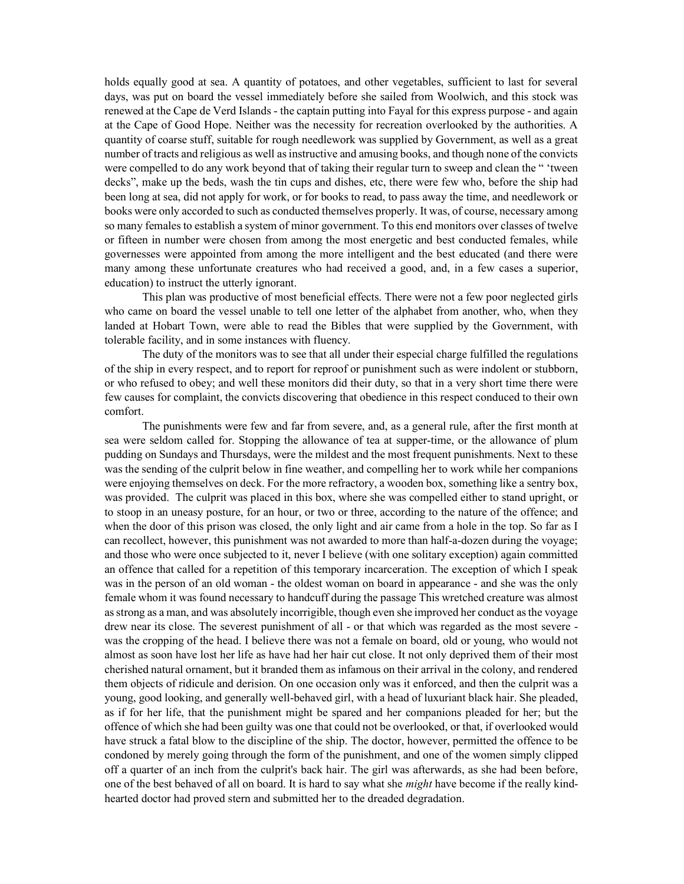holds equally good at sea. A quantity of potatoes, and other vegetables, sufficient to last for several days, was put on board the vessel immediately before she sailed from Woolwich, and this stock was renewed at the Cape de Verd Islands - the captain putting into Fayal for this express purpose - and again at the Cape of Good Hope. Neither was the necessity for recreation overlooked by the authorities. A quantity of coarse stuff, suitable for rough needlework was supplied by Government, as well as a great number of tracts and religious as well as instructive and amusing books, and though none of the convicts were compelled to do any work beyond that of taking their regular turn to sweep and clean the " 'tween decks", make up the beds, wash the tin cups and dishes, etc, there were few who, before the ship had been long at sea, did not apply for work, or for books to read, to pass away the time, and needlework or books were only accorded to such as conducted themselves properly. It was, of course, necessary among so many females to establish a system of minor government. To this end monitors over classes of twelve or fifteen in number were chosen from among the most energetic and best conducted females, while governesses were appointed from among the more intelligent and the best educated (and there were many among these unfortunate creatures who had received a good, and, in a few cases a superior, education) to instruct the utterly ignorant.

 This plan was productive of most beneficial effects. There were not a few poor neglected girls who came on board the vessel unable to tell one letter of the alphabet from another, who, when they landed at Hobart Town, were able to read the Bibles that were supplied by the Government, with tolerable facility, and in some instances with fluency.

 The duty of the monitors was to see that all under their especial charge fulfilled the regulations of the ship in every respect, and to report for reproof or punishment such as were indolent or stubborn, or who refused to obey; and well these monitors did their duty, so that in a very short time there were few causes for complaint, the convicts discovering that obedience in this respect conduced to their own comfort.

 The punishments were few and far from severe, and, as a general rule, after the first month at sea were seldom called for. Stopping the allowance of tea at supper-time, or the allowance of plum pudding on Sundays and Thursdays, were the mildest and the most frequent punishments. Next to these was the sending of the culprit below in fine weather, and compelling her to work while her companions were enjoying themselves on deck. For the more refractory, a wooden box, something like a sentry box, was provided. The culprit was placed in this box, where she was compelled either to stand upright, or to stoop in an uneasy posture, for an hour, or two or three, according to the nature of the offence; and when the door of this prison was closed, the only light and air came from a hole in the top. So far as I can recollect, however, this punishment was not awarded to more than half-a-dozen during the voyage; and those who were once subjected to it, never I believe (with one solitary exception) again committed an offence that called for a repetition of this temporary incarceration. The exception of which I speak was in the person of an old woman - the oldest woman on board in appearance - and she was the only female whom it was found necessary to handcuff during the passage This wretched creature was almost as strong as a man, and was absolutely incorrigible, though even she improved her conduct as the voyage drew near its close. The severest punishment of all - or that which was regarded as the most severe was the cropping of the head. I believe there was not a female on board, old or young, who would not almost as soon have lost her life as have had her hair cut close. It not only deprived them of their most cherished natural ornament, but it branded them as infamous on their arrival in the colony, and rendered them objects of ridicule and derision. On one occasion only was it enforced, and then the culprit was a young, good looking, and generally well-behaved girl, with a head of luxuriant black hair. She pleaded, as if for her life, that the punishment might be spared and her companions pleaded for her; but the offence of which she had been guilty was one that could not be overlooked, or that, if overlooked would have struck a fatal blow to the discipline of the ship. The doctor, however, permitted the offence to be condoned by merely going through the form of the punishment, and one of the women simply clipped off a quarter of an inch from the culprit's back hair. The girl was afterwards, as she had been before, one of the best behaved of all on board. It is hard to say what she *might* have become if the really kindhearted doctor had proved stern and submitted her to the dreaded degradation.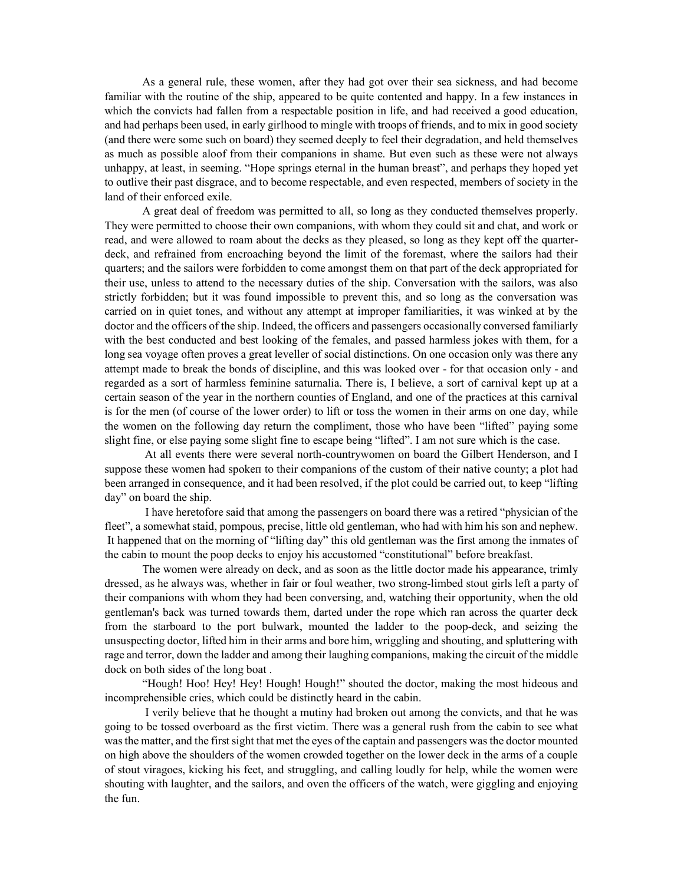As a general rule, these women, after they had got over their sea sickness, and had become familiar with the routine of the ship, appeared to be quite contented and happy. In a few instances in which the convicts had fallen from a respectable position in life, and had received a good education, and had perhaps been used, in early girlhood to mingle with troops of friends, and to mix in good society (and there were some such on board) they seemed deeply to feel their degradation, and held themselves as much as possible aloof from their companions in shame. But even such as these were not always unhappy, at least, in seeming. "Hope springs eternal in the human breast", and perhaps they hoped yet to outlive their past disgrace, and to become respectable, and even respected, members of society in the land of their enforced exile.

 A great deal of freedom was permitted to all, so long as they conducted themselves properly. They were permitted to choose their own companions, with whom they could sit and chat, and work or read, and were allowed to roam about the decks as they pleased, so long as they kept off the quarterdeck, and refrained from encroaching beyond the limit of the foremast, where the sailors had their quarters; and the sailors were forbidden to come amongst them on that part of the deck appropriated for their use, unless to attend to the necessary duties of the ship. Conversation with the sailors, was also strictly forbidden; but it was found impossible to prevent this, and so long as the conversation was carried on in quiet tones, and without any attempt at improper familiarities, it was winked at by the doctor and the officers of the ship. Indeed, the officers and passengers occasionally conversed familiarly with the best conducted and best looking of the females, and passed harmless jokes with them, for a long sea voyage often proves a great leveller of social distinctions. On one occasion only was there any attempt made to break the bonds of discipline, and this was looked over - for that occasion only - and regarded as a sort of harmless feminine saturnalia. There is, I believe, a sort of carnival kept up at a certain season of the year in the northern counties of England, and one of the practices at this carnival is for the men (of course of the lower order) to lift or toss the women in their arms on one day, while the women on the following day return the compliment, those who have been "lifted" paying some slight fine, or else paying some slight fine to escape being "lifted". I am not sure which is the case.

At all events there were several north-countrywomen on board the Gilbert Henderson, and I suppose these women had sроkeп to their companions of the custom of their native county; a plot had been arranged in consequence, and it had been resolved, if the plot could be carried out, to keep "lifting day" on board the ship.

 I have heretofore said that among the passengers on board there was a retired "physician of the fleet", a somewhat staid, pompous, precise, little old gentleman, who had with him his son and nephew. It happened that on the morning of "lifting day" this old gentleman was the first among the inmates of the cabin to mount the poop decks to enjoy his accustomed "constitutional" before breakfast.

 The women were already on deck, and as soon as the little doctor made his appearance, trimly dressed, as he always was, whether in fair or foul weather, two strong-limbed stout girls left a party of their companions with whom they had been conversing, and, watching their opportunity, when the old gentleman's back was turned towards them, darted under the rope which ran across the quarter deck from the starboard to the port bulwark, mounted the ladder to the poop-deck, and seizing the unsuspecting doctor, lifted him in their arms and bore him, wriggling and shouting, and spluttering with rage and terror, down the ladder and among their laughing companions, making the circuit of the middle dock on both sides of the long boat .

"Hough! Hoo! Hey! Hey! Hough! Hough!" shouted the doctor, making the most hideous and incomprehensible cries, which could be distinctly heard in the cabin.

 I verily believe that he thought a mutiny had broken out among the convicts, and that he was going to be tossed overboard as the first victim. There was a general rush from the cabin to see what was the matter, and the first sight that met the eyes of the captain and passengers was the doctor mounted on high above the shoulders of the women crowded together on the lower deck in the arms of a couple of stout viragoes, kicking his feet, and struggling, and calling loudly for help, while the women were shouting with laughter, and the sailors, and oven the officers of the watch, were giggling and enjoying the fun.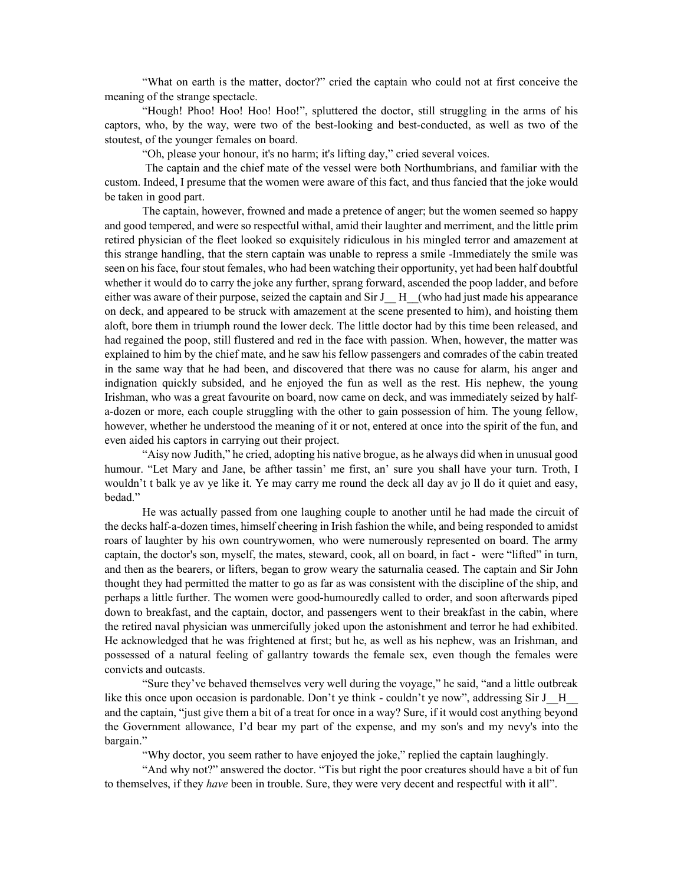"What on earth is the matter, doctor?" cried the captain who could not at first conceive the meaning of the strange spectacle.

"Hough! Phoo! Hoo! Hoo! Hoo!", spluttered the doctor, still struggling in the arms of his captors, who, by the way, were two of the best-looking and best-conducted, as well as two of the stoutest, of the younger females on board.

"Oh, please your honour, it's no harm; it's lifting day," cried several voices.

 The captain and the chief mate of the vessel were both Northumbrians, and familiar with the custom. Indeed, I presume that the women were aware of this fact, and thus fancied that the joke would be taken in good part.

 The captain, however, frowned and made a pretence of anger; but the women seemed so happy and good tempered, and were so respectful withal, amid their laughter and merriment, and the little prim retired physician of the fleet looked so exquisitely ridiculous in his mingled terror and amazement at this strange handling, that the stern captain was unable to repress a smile -Immediately the smile was seen on his face, four stout females, who had been watching their opportunity, yet had been half doubtful whether it would do to carry the joke any further, sprang forward, ascended the poop ladder, and before either was aware of their purpose, seized the captain and  $\text{Sir } J \quad H \quad$  (who had just made his appearance on deck, and appeared to be struck with amazement at the scene presented to him), and hoisting them aloft, bore them in triumph round the lower deck. The little doctor had by this time been released, and had regained the poop, still flustered and red in the face with passion. When, however, the matter was explained to him by the chief mate, and he saw his fellow passengers and comrades of the cabin treated in the same way that he had been, and discovered that there was no cause for alarm, his anger and indignation quickly subsided, and he enjoyed the fun as well as the rest. His nephew, the young Irishman, who was a great favourite on board, now came on deck, and was immediately seized by halfa-dozen or more, each couple struggling with the other to gain possession of him. The young fellow, however, whether he understood the meaning of it or not, entered at once into the spirit of the fun, and even aided his captors in carrying out their project.

"Aisy now Judith," he cried, adopting his native brogue, as he always did when in unusual good humour. "Let Mary and Jane, be afther tassin' me first, an' sure you shall have your turn. Troth, I wouldn't t balk ye av ye like it. Ye may carry me round the deck all day av jo ll do it quiet and easy, bedad."

He was actually passed from one laughing couple to another until he had made the circuit of the decks half-a-dozen times, himself cheering in Irish fashion the while, and being responded to amidst roars of laughter by his own countrywomen, who were numerously represented on board. The army captain, the doctor's son, myself, the mates, steward, cook, all on board, in fact - were "lifted" in turn, and then as the bearers, or lifters, began to grow weary the saturnalia ceased. The captain and Sir John thought they had permitted the matter to go as far as was consistent with the discipline of the ship, and perhaps a little further. The women were good-humouredly called to order, and soon afterwards piped down to breakfast, and the captain, doctor, and passengers went to their breakfast in the cabin, where the retired naval physician was unmercifully joked upon the astonishment and terror he had exhibited. He acknowledged that he was frightened at first; but he, as well as his nephew, was an Irishman, and possessed of a natural feeling of gallantry towards the female sex, even though the females were convicts and outcasts.

"Sure they've behaved themselves very well during the voyage," he said, "and a little outbreak like this once upon occasion is pardonable. Don't ye think - couldn't ye now", addressing Sir J\_H\_\_ and the captain, "just give them a bit of a treat for once in a way? Sure, if it would cost anything beyond the Government allowance, I'd bear my part of the expense, and my son's and my nevy's into the bargain."

"Why doctor, you seem rather to have enjoyed the joke," replied the captain laughingly.

"And why not?" answered the doctor. "Tis but right the poor creatures should have a bit of fun to themselves, if they have been in trouble. Sure, they were very decent and respectful with it all".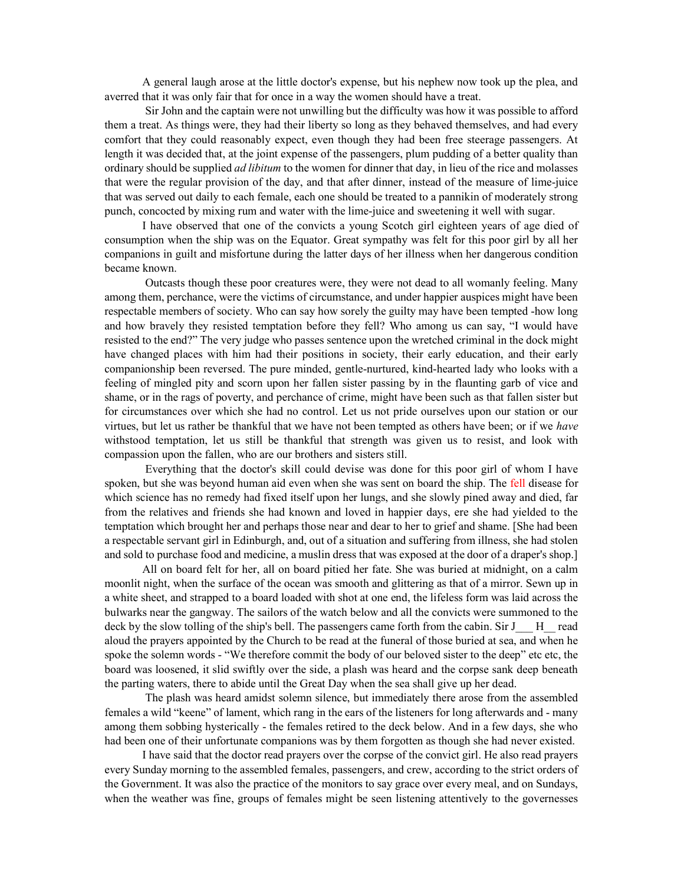A general laugh arose at the little doctor's expense, but his nephew now took up the plea, and averred that it was only fair that for once in a way the women should have a treat.

 Sir John and the captain were not unwilling but the difficulty was how it was possible to afford them a treat. As things were, they had their liberty so long as they behaved themselves, and had every comfort that they could reasonably expect, even though they had been free steerage passengers. At length it was decided that, at the joint expense of the passengers, plum pudding of a better quality than ordinary should be supplied *ad libitum* to the women for dinner that day, in lieu of the rice and molasses that were the regular provision of the day, and that after dinner, instead of the measure of lime-juice that was served out daily to each female, each one should be treated to a pannikin of moderately strong punch, concocted by mixing rum and water with the lime-juice and sweetening it well with sugar.

 I have observed that one of the convicts a young Scotch girl eighteen years of age died of consumption when the ship was on the Equator. Great sympathy was felt for this poor girl by all her companions in guilt and misfortune during the latter days of her illness when her dangerous condition became known.

 Outcasts though these poor creatures were, they were not dead to all womanly feeling. Many among them, perchance, were the victims of circumstance, and under happier auspices might have been respectable members of society. Who can say how sorely the guilty may have been tempted -how long and how bravely they resisted temptation before they fell? Who among us can say, "I would have resisted to the end?" The very judge who passes sentence upon the wretched criminal in the dock might have changed places with him had their positions in society, their early education, and their early companionship been reversed. The pure minded, gentle-nurtured, kind-hearted lady who looks with a feeling of mingled pity and scorn upon her fallen sister passing by in the flaunting garb of vice and shame, or in the rags of poverty, and perchance of crime, might have been such as that fallen sister but for circumstances over which she had no control. Let us not pride ourselves upon our station or our virtues, but let us rather be thankful that we have not been tempted as others have been; or if we have withstood temptation, let us still be thankful that strength was given us to resist, and look with compassion upon the fallen, who are our brothers and sisters still.

 Everything that the doctor's skill could devise was done for this poor girl of whom I have spoken, but she was beyond human aid even when she was sent on board the ship. The fell disease for which science has no remedy had fixed itself upon her lungs, and she slowly pined away and died, far from the relatives and friends she had known and loved in happier days, ere she had yielded to the temptation which brought her and perhaps those near and dear to her to grief and shame. [She had been a respectable servant girl in Edinburgh, and, out of a situation and suffering from illness, she had stolen and sold to purchase food and medicine, a muslin dress that was exposed at the door of a draper's shop.]

 All on board felt for her, all on board pitied her fate. She was buried at midnight, on a calm moonlit night, when the surface of the ocean was smooth and glittering as that of a mirror. Sewn up in a white sheet, and strapped to a board loaded with shot at one end, the lifeless form was laid across the bulwarks near the gangway. The sailors of the watch below and all the convicts were summoned to the deck by the slow tolling of the ship's bell. The passengers came forth from the cabin. Sir J\_\_\_ H\_\_ read aloud the prayers appointed by the Church to be read at the funeral of those buried at sea, and when he spoke the solemn words - "We therefore commit the body of our beloved sister to the deep" etc etc, the board was loosened, it slid swiftly over the side, a plash was heard and the corpse sank deep beneath the parting waters, there to abide until the Great Day when the sea shall give up her dead.

 The plash was heard amidst solemn silence, but immediately there arose from the assembled females a wild "keene" of lament, which rang in the ears of the listeners for long afterwards and - many among them sobbing hysterically - the females retired to the deck below. And in a few days, she who had been one of their unfortunate companions was by them forgotten as though she had never existed.

I have said that the doctor read prayers over the corpse of the convict girl. He also read prayers every Sunday morning to the assembled females, passengers, and crew, according to the strict orders of the Government. It was also the practice of the monitors to say grace over every meal, and on Sundays, when the weather was fine, groups of females might be seen listening attentively to the governesses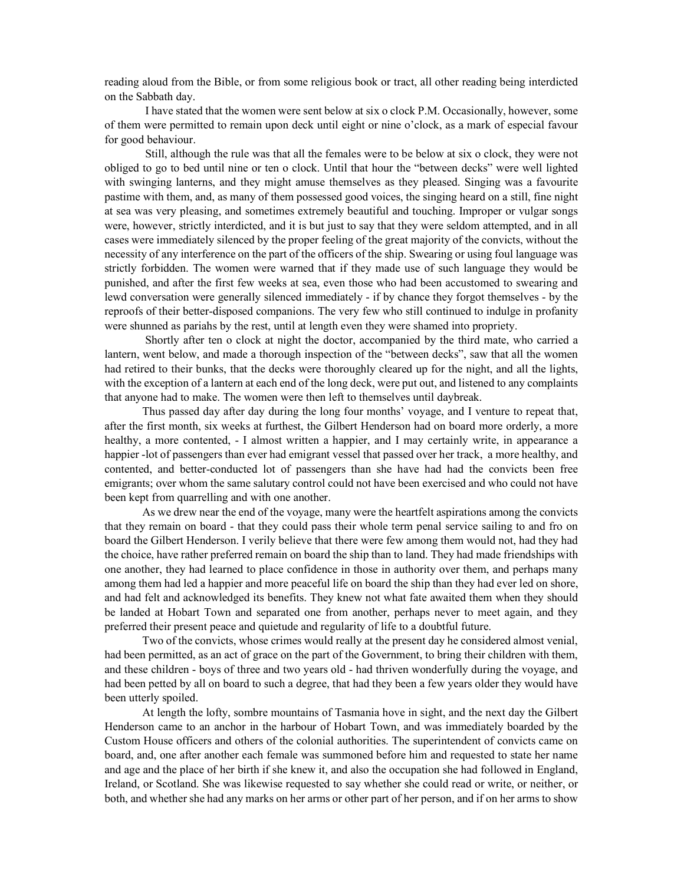reading aloud from the Bible, or from some religious book or tract, all other reading being interdicted on the Sabbath day.

 I have stated that the women were sent below at six o clock P.M. Occasionally, however, some of them were permitted to remain upon deck until eight or nine o'clock, as a mark of especial favour for good behaviour.

 Still, although the rule was that all the females were to be below at six o clock, they were not obliged to go to bed until nine or ten o clock. Until that hour the "between decks" were well lighted with swinging lanterns, and they might amuse themselves as they pleased. Singing was a favourite pastime with them, and, as many of them possessed good voices, the singing heard on a still, fine night at sea was very pleasing, and sometimes extremely beautiful and touching. Improper or vulgar songs were, however, strictly interdicted, and it is but just to say that they were seldom attempted, and in all cases were immediately silenced by the proper feeling of the great majority of the convicts, without the necessity of any interference on the part of the officers of the ship. Swearing or using foul language was strictly forbidden. The women were warned that if they made use of such language they would be punished, and after the first few weeks at sea, even those who had been accustomed to swearing and lewd conversation were generally silenced immediately - if by chance they forgot themselves - by the reproofs of their better-disposed companions. The very few who still continued to indulge in profanity were shunned as pariahs by the rest, until at length even they were shamed into propriety.

 Shortly after ten o clock at night the doctor, accompanied by the third mate, who carried a lantern, went below, and made a thorough inspection of the "between decks", saw that all the women had retired to their bunks, that the decks were thoroughly cleared up for the night, and all the lights, with the exception of a lantern at each end of the long deck, were put out, and listened to any complaints that anyone had to make. The women were then left to themselves until daybreak.

 Thus passed day after day during the long four months' voyage, and I venture to repeat that, after the first month, six weeks at furthest, the Gilbert Henderson had on board more orderly, a more healthy, a more contented,  $- I$  almost written a happier, and I may certainly write, in appearance a happier -lot of passengers than ever had emigrant vessel that passed over her track, a more healthy, and contented, and better-conducted lot of passengers than she have had had the convicts been free emigrants; over whom the same salutary control could not have been exercised and who could not have been kept from quarrelling and with one another.

 As we drew near the end of the voyage, many were the heartfelt aspirations among the convicts that they remain on board - that they could pass their whole term penal service sailing to and fro on board the Gilbert Henderson. I verily believe that there were few among them would not, had they had the choice, have rather preferred remain on board the ship than to land. They had made friendships with one another, they had learned to place confidence in those in authority over them, and perhaps many among them had led a happier and more peaceful life on board the ship than they had ever led on shore, and had felt and acknowledged its benefits. They knew not what fate awaited them when they should be landed at Hobart Town and separated one from another, perhaps never to meet again, and they preferred their present peace and quietude and regularity of life to a doubtful future.

 Two of the convicts, whose crimes would really at the present day he considered almost venial, had been permitted, as an act of grace on the part of the Government, to bring their children with them, and these children - boys of three and two years old - had thriven wonderfully during the voyage, and had been petted by all on board to such a degree, that had they been a few years older they would have been utterly spoiled.

 At length the lofty, sombre mountains of Tasmania hove in sight, and the next day the Gilbert Henderson came to an anchor in the harbour of Hobart Town, and was immediately boarded by the Custom House officers and others of the colonial authorities. The superintendent of convicts came on board, and, one after another each female was summoned before him and requested to state her name and age and the place of her birth if she knew it, and also the occupation she had followed in England, Ireland, or Scotland. She was likewise requested to say whether she could read or write, or neither, or both, and whether she had any marks on her arms or other part of her person, and if on her arms to show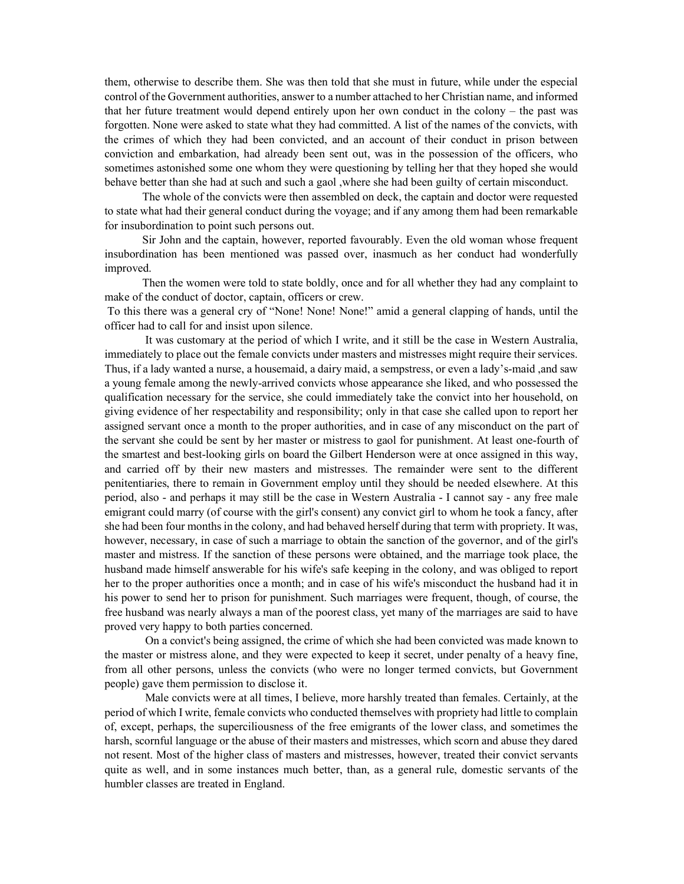them, otherwise to describe them. She was then told that she must in future, while under the especial control of the Government authorities, answer to a number attached to her Christian name, and informed that her future treatment would depend entirely upon her own conduct in the colony – the past was forgotten. None were asked to state what they had committed. A list of the names of the convicts, with the crimes of which they had been convicted, and an account of their conduct in prison between conviction and embarkation, had already been sent out, was in the possession of the officers, who sometimes astonished some one whom they were questioning by telling her that they hoped she would behave better than she had at such and such a gaol ,where she had been guilty of certain misconduct.

 The whole of the convicts were then assembled on deck, the captain and doctor were requested to state what had their general conduct during the voyage; and if any among them had been remarkable for insubordination to point such persons out.

Sir John and the captain, however, reported favourably. Even the old woman whose frequent insubordination has been mentioned was passed over, inasmuch as her conduct had wonderfully improved.

 Then the women were told to state boldly, once and for all whether they had any complaint to make of the conduct of doctor, captain, officers or crew.

 To this there was a general cry of "None! None! None!" amid a general clapping of hands, until the officer had to call for and insist upon silence.

 It was customary at the period of which I write, and it still be the case in Western Australia, immediately to place out the female convicts under masters and mistresses might require their services. Thus, if a lady wanted а nurse, a housemaid, a dairy maid, a sempstress, or even а lady's-maid ,and saw a young female among the newly-arrived convicts whose appearance she liked, and who possessed the qualification necessary for the service, she could immediately take the convict into her household, on giving evidence of her respectability and responsibility; only in that case she called upon to report her assigned servant once a month to the proper authorities, and in case of any misconduct on the part of the servant she could be sent by her master or mistress to gaol for punishment. At least one-fourth of the smartest and best-looking girls on board the Gilbert Henderson were at once assigned in this way, and carried off by their new masters and mistresses. The remainder were sent to the different penitentiaries, there to remain in Government employ until they should be needed elsewhere. At this period, also - and perhaps it may still be the case in Western Australia - I cannot say - any free male emigrant could marry (of course with the girl's consent) any convict girl to whom he took a fancy, after she had been four months in the colony, and had behaved herself during that term with propriety. It was, however, necessary, in case of such a marriage to obtain the sanction of the governor, and of the girl's master and mistress. If the sanction of these persons were obtained, and the marriage took place, the husband made himself answerable for his wife's safe keeping in the colony, and was obliged to report her to the proper authorities once a month; and in case of his wife's misconduct the husband had it in his power to send her to prison for punishment. Such marriages were frequent, though, of course, the free husband was nearly always a man of the poorest class, yet many of the marriages are said to have proved very happy to both parties concerned.

 On a convict's being assigned, the crime of which she had been convicted was made known to the master or mistress alone, and they were expected to keep it secret, under penalty of a heavy fine, from all other persons, unless the convicts (who were no longer termed convicts, but Government people) gave them permission to disclose it.

 Male convicts were at all times, I believe, more harshly treated than females. Certainly, at the period of which I write, female convicts who conducted themselves with propriety had little to complain of, except, perhaps, the superciliousness of the free emigrants of the lower class, and sometimes the harsh, scornful language or the abuse of their masters and mistresses, which scorn and abuse they dared not resent. Most of the higher class of masters and mistresses, however, treated their convict servants quite as well, and in some instances much better, than, as a general rule, domestic servants of the humbler classes are treated in England.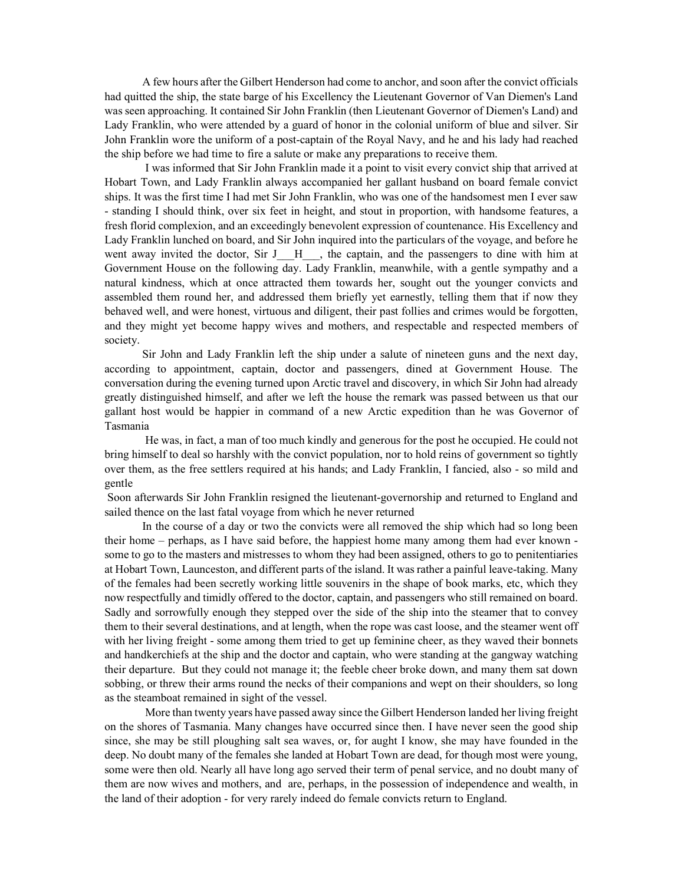A few hours after the Gilbert Henderson had come to anchor, and soon after the convict officials had quitted the ship, the state barge of his Excellency the Lieutenant Governor of Van Diemen's Land was seen approaching. It contained Sir John Franklin (then Lieutenant Governor of Diemen's Land) and Lady Franklin, who were attended by a guard of honor in the colonial uniform of blue and silver. Sir John Franklin wore the uniform of a post-captain of the Royal Navy, and he and his lady had reached the ship before we had time to fire a salute or make any preparations to receive them.

 I was informed that Sir John Franklin made it a point to visit every convict ship that arrived at Hobart Town, and Lady Franklin always accompanied her gallant husband on board female convict ships. It was the first time I had met Sir John Franklin, who was one of the handsomest men I ever saw - standing I should think, over six feet in height, and stout in proportion, with handsome features, a fresh florid complexion, and an exceedingly benevolent expression of countenance. His Excellency and Lady Franklin lunched on board, and Sir John inquired into the particulars of the voyage, and before he went away invited the doctor, Sir J H , the captain, and the passengers to dine with him at Government House on the following day. Lady Franklin, meanwhile, with a gentle sympathy and a natural kindness, which at once attracted them towards her, sought out the younger convicts and assembled them round her, and addressed them briefly yet earnestly, telling them that if now they behaved well, and were honest, virtuous and diligent, their past follies and crimes would be forgotten, and they might yet become happy wives and mothers, and respectable and respected members of society.

 Sir John and Lady Franklin left the ship under a salute of nineteen guns and the next day, according to appointment, captain, doctor and passengers, dined at Government House. The conversation during the evening turned upon Arctic travel and discovery, in which Sir John had already greatly distinguished himself, and after we left the house the remark was passed between us that our gallant host would be happier in command of a new Arctic expedition than he was Governor of Tasmania

 He was, in fact, a man of too much kindly and generous for the post he occupied. He could not bring himself to deal so harshly with the convict population, nor to hold reins of government so tightly over them, as the free settlers required at his hands; and Lady Franklin, I fancied, also - so mild and gentle

 Soon afterwards Sir John Franklin resigned the lieutenant-governorship and returned to England and sailed thence on the last fatal voyage from which he never returned

 In the course of a day or two the convicts were all removed the ship which had so long been their home – perhaps, as I have said before, the happiest home many among them had ever known some to go to the masters and mistresses to whom they had been assigned, others to go to penitentiaries at Hobart Town, Launceston, and different parts of the island. It was rather a painful leave-taking. Many of the females had been secretly working little souvenirs in the shape of book marks, etc, which they now respectfully and timidly offered to the doctor, captain, and passengers who still remained on board. Sadly and sorrowfully enough they stepped over the side of the ship into the steamer that to convey them to their several destinations, and at length, when the rope was cast loose, and the steamer went off with her living freight - some among them tried to get up feminine cheer, as they waved their bonnets and handkerchiefs at the ship and the doctor and captain, who were standing at the gangway watching their departure. But they could not manage it; the feeble cheer broke down, and many them sat down sobbing, or threw their arms round the necks of their companions and wept on their shoulders, so long as the steamboat remained in sight of the vessel.

 More than twenty years have passed away since the Gilbert Henderson landed her living freight on the shores of Tasmania. Many changes have occurred since then. I have never seen the good ship since, she may be still ploughing salt sea waves, or, for aught I know, she may have founded in the deep. No doubt many of the females she landed at Hobart Town are dead, for though most were young, some were then old. Nearly all have long ago served their term of penal service, and no doubt many of them are now wives and mothers, and are, perhaps, in the possession of independence and wealth, in the land of their adoption - for very rarely indeed do female convicts return to England.